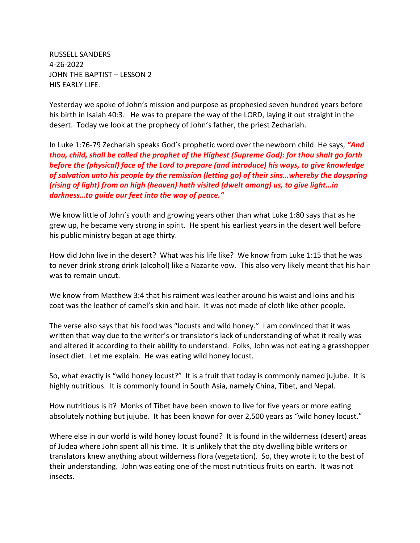RUSSELL SANDERS 4-26-2022 JOHN THE BAPTIST – LESSON 2 HIS EARLY LIFE.

Yesterday we spoke of John's mission and purpose as prophesied seven hundred years before his birth in Isaiah 40:3. He was to prepare the way of the LORD, laying it out straight in the desert. Today we look at the prophecy of John's father, the priest Zechariah.

In Luke 1:76-79 Zechariah speaks God's prophetic word over the newborn child. He says, *"And thou, child, shall be called the prophet of the Highest (Supreme God): for thou shalt go forth before the (physical) face of the Lord to prepare (and introduce) his ways, to give knowledge of salvation unto his people by the remission (letting go) of their sins…whereby the dayspring (rising of light) from on high (heaven) hath visited (dwelt among) us, to give light…in darkness…to guide our feet into the way of peace."*

We know little of John's youth and growing years other than what Luke 1:80 says that as he grew up, he became very strong in spirit. He spent his earliest years in the desert well before his public ministry began at age thirty.

How did John live in the desert? What was his life like? We know from Luke 1:15 that he was to never drink strong drink (alcohol) like a Nazarite vow. This also very likely meant that his hair was to remain uncut.

We know from Matthew 3:4 that his raiment was leather around his waist and loins and his coat was the leather of camel's skin and hair. It was not made of cloth like other people.

The verse also says that his food was "locusts and wild honey." I am convinced that it was written that way due to the writer's or translator's lack of understanding of what it really was and altered it according to their ability to understand. Folks, John was not eating a grasshopper insect diet. Let me explain. He was eating wild honey locust.

So, what exactly is "wild honey locust?" It is a fruit that today is commonly named jujube. It is highly nutritious. It is commonly found in South Asia, namely China, Tibet, and Nepal.

How nutritious is it? Monks of Tibet have been known to live for five years or more eating absolutely nothing but jujube. It has been known for over 2,500 years as "wild honey locust."

Where else in our world is wild honey locust found? It is found in the wilderness (desert) areas of Judea where John spent all his time. It is unlikely that the city dwelling bible writers or translators knew anything about wilderness flora (vegetation). So, they wrote it to the best of their understanding. John was eating one of the most nutritious fruits on earth. It was not insects.